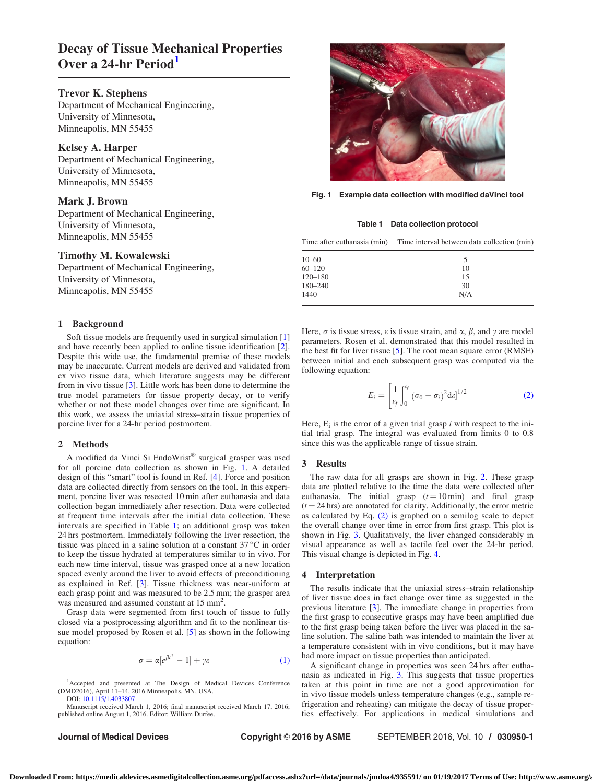# Decay of Tissue Mechanical Properties Over a 24-hr Period<sup>1</sup>

## Trevor K. Stephens

Department of Mechanical Engineering, University of Minnesota, Minneapolis, MN 55455

## Kelsey A. Harper

Department of Mechanical Engineering, University of Minnesota, Minneapolis, MN 55455

### Mark J. Brown

Department of Mechanical Engineering, University of Minnesota, Minneapolis, MN 55455

## Timothy M. Kowalewski

Department of Mechanical Engineering, University of Minnesota, Minneapolis, MN 55455

## 1 Background

Soft tissue models are frequently used in surgical simulation [\[1](#page-1-0)] and have recently been applied to online tissue identification [\[2\]](#page-1-0). Despite this wide use, the fundamental premise of these models may be inaccurate. Current models are derived and validated from ex vivo tissue data, which literature suggests may be different from in vivo tissue [\[3\]](#page-1-0). Little work has been done to determine the true model parameters for tissue property decay, or to verify whether or not these model changes over time are significant. In this work, we assess the uniaxial stress–strain tissue properties of porcine liver for a 24-hr period postmortem.

#### 2 Methods

A modified da Vinci Si EndoWrist® surgical grasper was used for all porcine data collection as shown in Fig. 1. A detailed design of this "smart" tool is found in Ref. [\[4\]](#page-1-0). Force and position data are collected directly from sensors on the tool. In this experiment, porcine liver was resected 10 min after euthanasia and data collection began immediately after resection. Data were collected at frequent time intervals after the initial data collection. These intervals are specified in Table 1; an additional grasp was taken 24 hrs postmortem. Immediately following the liver resection, the tissue was placed in a saline solution at a constant 37 °C in order to keep the tissue hydrated at temperatures similar to in vivo. For each new time interval, tissue was grasped once at a new location spaced evenly around the liver to avoid effects of preconditioning as explained in Ref. [\[3\]](#page-1-0). Tissue thickness was near-uniform at each grasp point and was measured to be 2.5 mm; the grasper area was measured and assumed constant at 15 mm<sup>2</sup>.

Grasp data were segmented from first touch of tissue to fully closed via a postprocessing algorithm and fit to the nonlinear tissue model proposed by Rosen et al. [[5](#page-1-0)] as shown in the following equation:

$$
\sigma = \alpha [e^{\beta \varepsilon^2} - 1] + \gamma \varepsilon \tag{1}
$$

Journal of Medical Devices **Copyright © 2016 by ASME** SEPTEMBER 2016, Vol. 10 / 030950-1



Fig. 1 Example data collection with modified daVinci tool

Table 1 Data collection protocol

| Time after euthanasia (min) | Time interval between data collection (min) |
|-----------------------------|---------------------------------------------|
| $10 - 60$                   | 5                                           |
| $60 - 120$                  | 10                                          |
| $120 - 180$                 | 15                                          |
| $180 - 240$                 | 30                                          |
| 1440                        | N/A                                         |

Here,  $\sigma$  is tissue stress,  $\varepsilon$  is tissue strain, and  $\alpha$ ,  $\beta$ , and  $\gamma$  are model parameters. Rosen et al. demonstrated that this model resulted in the best fit for liver tissue [\[5\]](#page-1-0). The root mean square error (RMSE) between initial and each subsequent grasp was computed via the following equation:

$$
E_i = \left[\frac{1}{\varepsilon_f} \int_0^{\varepsilon_f} (\sigma_0 - \sigma_i)^2 d\varepsilon \right]^{1/2}
$$
 (2)

Here,  $E_i$  is the error of a given trial grasp i with respect to the initial trial grasp. The integral was evaluated from limits 0 to 0.8 since this was the applicable range of tissue strain.

#### 3 Results

The raw data for all grasps are shown in Fig. [2.](#page-1-0) These grasp data are plotted relative to the time the data were collected after euthanasia. The initial grasp  $(t = 10 \text{ min})$  and final grasp  $(t = 24$  hrs) are annotated for clarity. Additionally, the error metric as calculated by Eq. (2) is graphed on a semilog scale to depict the overall change over time in error from first grasp. This plot is shown in Fig. [3.](#page-1-0) Qualitatively, the liver changed considerably in visual appearance as well as tactile feel over the 24-hr period. This visual change is depicted in Fig. [4](#page-1-0).

#### 4 Interpretation

The results indicate that the uniaxial stress–strain relationship of liver tissue does in fact change over time as suggested in the previous literature [[3](#page-1-0)]. The immediate change in properties from the first grasp to consecutive grasps may have been amplified due to the first grasp being taken before the liver was placed in the saline solution. The saline bath was intended to maintain the liver at a temperature consistent with in vivo conditions, but it may have had more impact on tissue properties than anticipated.

A significant change in properties was seen 24 hrs after euthanasia as indicated in Fig. [3](#page-1-0). This suggests that tissue properties taken at this point in time are not a good approximation for in vivo tissue models unless temperature changes (e.g., sample refrigeration and reheating) can mitigate the decay of tissue properties effectively. For applications in medical simulations and

<sup>&</sup>lt;sup>1</sup>Accepted and presented at The Design of Medical Devices Conference (DMD2016), April 11–14, 2016 Minneapolis, MN, USA. DOI: [10.1115/1.4033807](http://dx.doi.org/10.1115/1.4033807)

Manuscript received March 1, 2016; final manuscript received March 17, 2016; published online August 1, 2016. Editor: William Durfee.